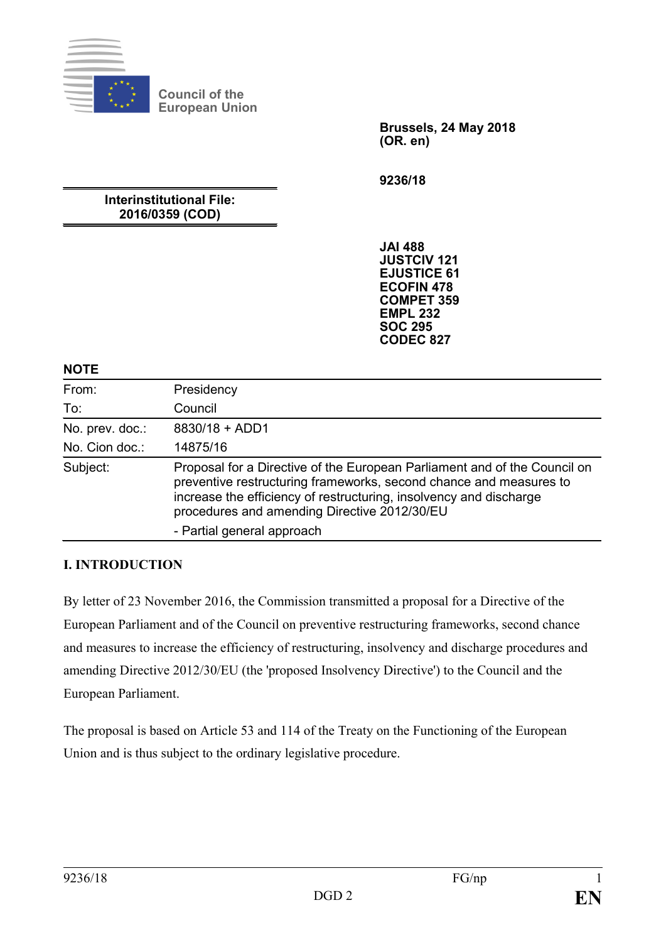

**Council of the European Union**

> **Brussels, 24 May 2018 (OR. en)**

**9236/18**

# **Interinstitutional File: 2016/0359 (COD)**

**JAI 488 JUSTCIV 121 EJUSTICE 61 ECOFIN 478 COMPET 359 EMPL 232 SOC 295 CODEC 827**

#### **NOTE**

| From:           | Presidency                                                                                                                                                                                                                                                            |
|-----------------|-----------------------------------------------------------------------------------------------------------------------------------------------------------------------------------------------------------------------------------------------------------------------|
| To:             | Council                                                                                                                                                                                                                                                               |
| No. prev. doc.: | 8830/18 + ADD1                                                                                                                                                                                                                                                        |
| No. Cion doc.:  | 14875/16                                                                                                                                                                                                                                                              |
| Subject:        | Proposal for a Directive of the European Parliament and of the Council on<br>preventive restructuring frameworks, second chance and measures to<br>increase the efficiency of restructuring, insolvency and discharge<br>procedures and amending Directive 2012/30/EU |
|                 | - Partial general approach                                                                                                                                                                                                                                            |

## **I. INTRODUCTION**

By letter of 23 November 2016, the Commission transmitted a proposal for a Directive of the European Parliament and of the Council on preventive restructuring frameworks, second chance and measures to increase the efficiency of restructuring, insolvency and discharge procedures and amending Directive 2012/30/EU (the 'proposed Insolvency Directive') to the Council and the European Parliament.

The proposal is based on Article 53 and 114 of the Treaty on the Functioning of the European Union and is thus subject to the ordinary legislative procedure.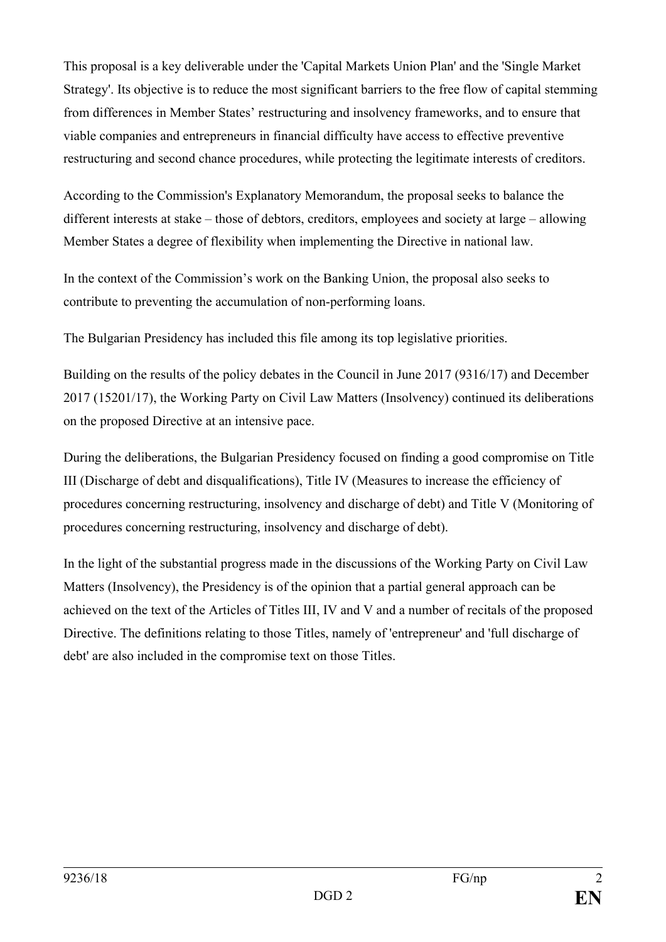This proposal is a key deliverable under the 'Capital Markets Union Plan' and the 'Single Market Strategy'. Its objective is to reduce the most significant barriers to the free flow of capital stemming from differences in Member States' restructuring and insolvency frameworks, and to ensure that viable companies and entrepreneurs in financial difficulty have access to effective preventive restructuring and second chance procedures, while protecting the legitimate interests of creditors.

According to the Commission's Explanatory Memorandum, the proposal seeks to balance the different interests at stake – those of debtors, creditors, employees and society at large – allowing Member States a degree of flexibility when implementing the Directive in national law.

In the context of the Commission's work on the Banking Union, the proposal also seeks to contribute to preventing the accumulation of non-performing loans.

The Bulgarian Presidency has included this file among its top legislative priorities.

Building on the results of the policy debates in the Council in June 2017 (9316/17) and December 2017 (15201/17), the Working Party on Civil Law Matters (Insolvency) continued its deliberations on the proposed Directive at an intensive pace.

During the deliberations, the Bulgarian Presidency focused on finding a good compromise on Title III (Discharge of debt and disqualifications), Title IV (Measures to increase the efficiency of procedures concerning restructuring, insolvency and discharge of debt) and Title V (Monitoring of procedures concerning restructuring, insolvency and discharge of debt).

In the light of the substantial progress made in the discussions of the Working Party on Civil Law Matters (Insolvency), the Presidency is of the opinion that a partial general approach can be achieved on the text of the Articles of Titles III, IV and V and a number of recitals of the proposed Directive. The definitions relating to those Titles, namely of 'entrepreneur' and 'full discharge of debt' are also included in the compromise text on those Titles.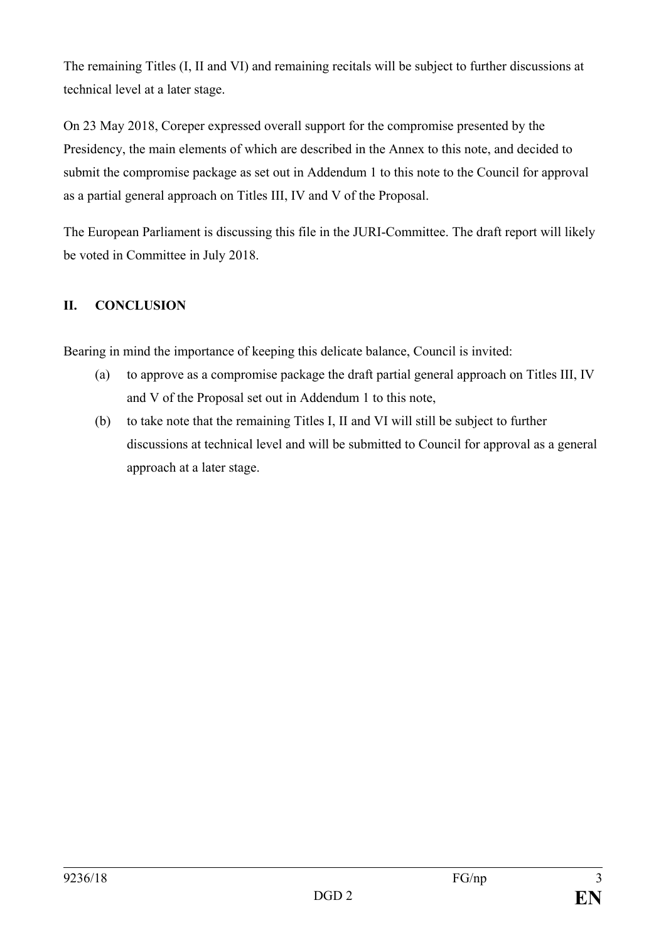The remaining Titles (I, II and VI) and remaining recitals will be subject to further discussions at technical level at a later stage.

On 23 May 2018, Coreper expressed overall support for the compromise presented by the Presidency, the main elements of which are described in the Annex to this note, and decided to submit the compromise package as set out in Addendum 1 to this note to the Council for approval as a partial general approach on Titles III, IV and V of the Proposal.

The European Parliament is discussing this file in the JURI-Committee. The draft report will likely be voted in Committee in July 2018.

# **II. CONCLUSION**

Bearing in mind the importance of keeping this delicate balance, Council is invited:

- (a) to approve as a compromise package the draft partial general approach on Titles III, IV and V of the Proposal set out in Addendum 1 to this note,
- (b) to take note that the remaining Titles I, II and VI will still be subject to further discussions at technical level and will be submitted to Council for approval as a general approach at a later stage.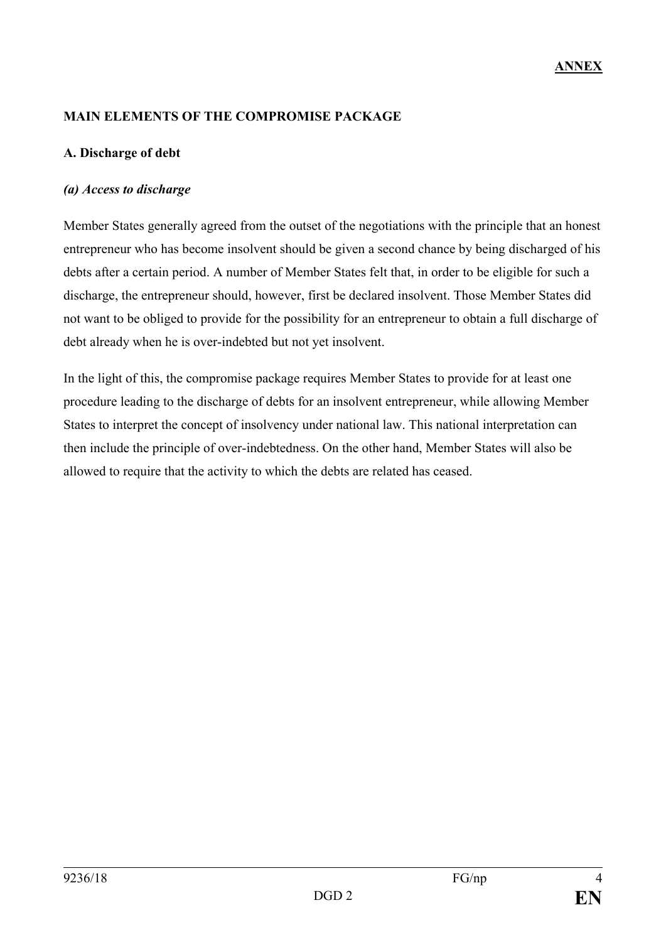## **MAIN ELEMENTS OF THE COMPROMISE PACKAGE**

## **A. Discharge of debt**

#### *(a) Access to discharge*

Member States generally agreed from the outset of the negotiations with the principle that an honest entrepreneur who has become insolvent should be given a second chance by being discharged of his debts after a certain period. A number of Member States felt that, in order to be eligible for such a discharge, the entrepreneur should, however, first be declared insolvent. Those Member States did not want to be obliged to provide for the possibility for an entrepreneur to obtain a full discharge of debt already when he is over-indebted but not yet insolvent.

In the light of this, the compromise package requires Member States to provide for at least one procedure leading to the discharge of debts for an insolvent entrepreneur, while allowing Member States to interpret the concept of insolvency under national law. This national interpretation can then include the principle of over-indebtedness. On the other hand, Member States will also be allowed to require that the activity to which the debts are related has ceased.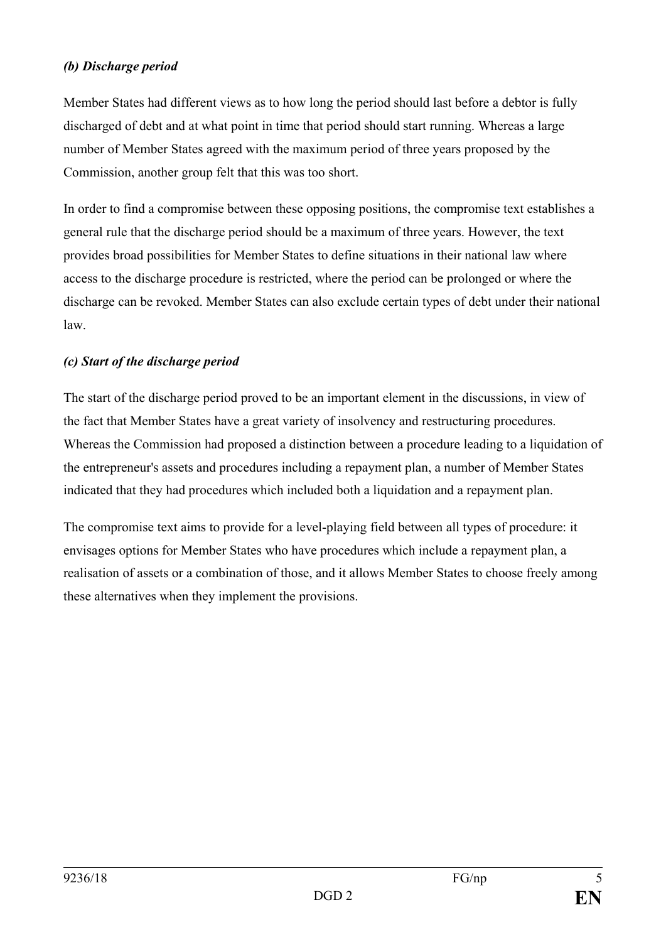## *(b) Discharge period*

Member States had different views as to how long the period should last before a debtor is fully discharged of debt and at what point in time that period should start running. Whereas a large number of Member States agreed with the maximum period of three years proposed by the Commission, another group felt that this was too short.

In order to find a compromise between these opposing positions, the compromise text establishes a general rule that the discharge period should be a maximum of three years. However, the text provides broad possibilities for Member States to define situations in their national law where access to the discharge procedure is restricted, where the period can be prolonged or where the discharge can be revoked. Member States can also exclude certain types of debt under their national law.

# *(c) Start of the discharge period*

The start of the discharge period proved to be an important element in the discussions, in view of the fact that Member States have a great variety of insolvency and restructuring procedures. Whereas the Commission had proposed a distinction between a procedure leading to a liquidation of the entrepreneur's assets and procedures including a repayment plan, a number of Member States indicated that they had procedures which included both a liquidation and a repayment plan.

The compromise text aims to provide for a level-playing field between all types of procedure: it envisages options for Member States who have procedures which include a repayment plan, a realisation of assets or a combination of those, and it allows Member States to choose freely among these alternatives when they implement the provisions.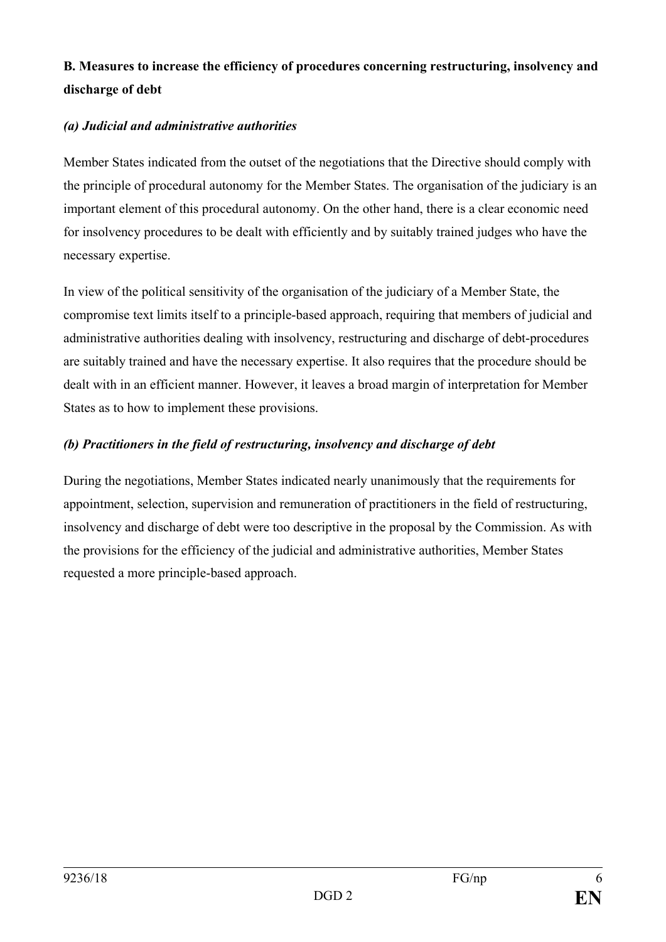# **B. Measures to increase the efficiency of procedures concerning restructuring, insolvency and discharge of debt**

# *(a) Judicial and administrative authorities*

Member States indicated from the outset of the negotiations that the Directive should comply with the principle of procedural autonomy for the Member States. The organisation of the judiciary is an important element of this procedural autonomy. On the other hand, there is a clear economic need for insolvency procedures to be dealt with efficiently and by suitably trained judges who have the necessary expertise.

In view of the political sensitivity of the organisation of the judiciary of a Member State, the compromise text limits itself to a principle-based approach, requiring that members of judicial and administrative authorities dealing with insolvency, restructuring and discharge of debt-procedures are suitably trained and have the necessary expertise. It also requires that the procedure should be dealt with in an efficient manner. However, it leaves a broad margin of interpretation for Member States as to how to implement these provisions.

# *(b) Practitioners in the field of restructuring, insolvency and discharge of debt*

During the negotiations, Member States indicated nearly unanimously that the requirements for appointment, selection, supervision and remuneration of practitioners in the field of restructuring, insolvency and discharge of debt were too descriptive in the proposal by the Commission. As with the provisions for the efficiency of the judicial and administrative authorities, Member States requested a more principle-based approach.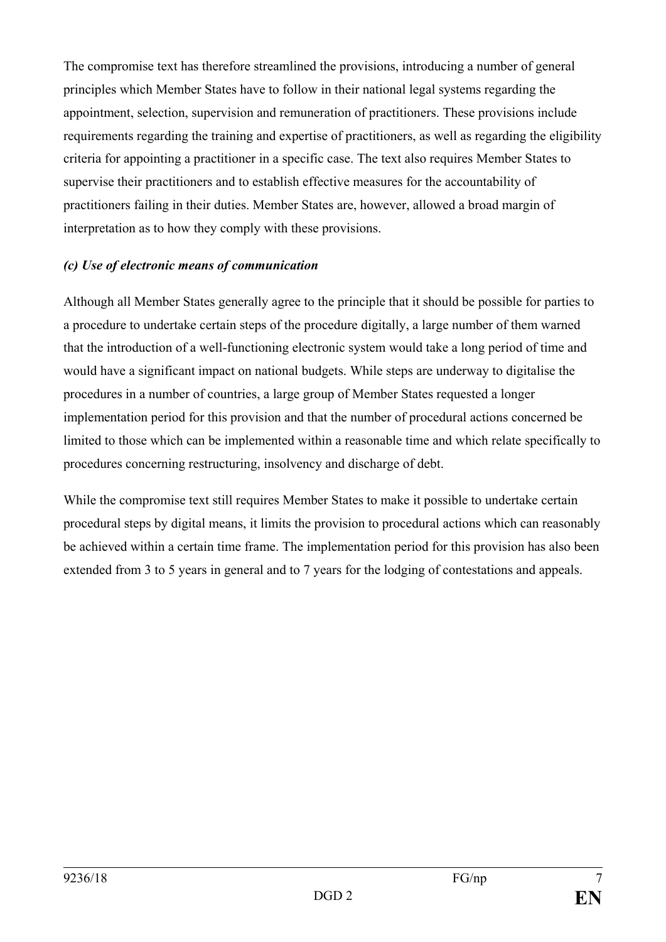The compromise text has therefore streamlined the provisions, introducing a number of general principles which Member States have to follow in their national legal systems regarding the appointment, selection, supervision and remuneration of practitioners. These provisions include requirements regarding the training and expertise of practitioners, as well as regarding the eligibility criteria for appointing a practitioner in a specific case. The text also requires Member States to supervise their practitioners and to establish effective measures for the accountability of practitioners failing in their duties. Member States are, however, allowed a broad margin of interpretation as to how they comply with these provisions.

#### *(c) Use of electronic means of communication*

Although all Member States generally agree to the principle that it should be possible for parties to a procedure to undertake certain steps of the procedure digitally, a large number of them warned that the introduction of a well-functioning electronic system would take a long period of time and would have a significant impact on national budgets. While steps are underway to digitalise the procedures in a number of countries, a large group of Member States requested a longer implementation period for this provision and that the number of procedural actions concerned be limited to those which can be implemented within a reasonable time and which relate specifically to procedures concerning restructuring, insolvency and discharge of debt.

While the compromise text still requires Member States to make it possible to undertake certain procedural steps by digital means, it limits the provision to procedural actions which can reasonably be achieved within a certain time frame. The implementation period for this provision has also been extended from 3 to 5 years in general and to 7 years for the lodging of contestations and appeals.